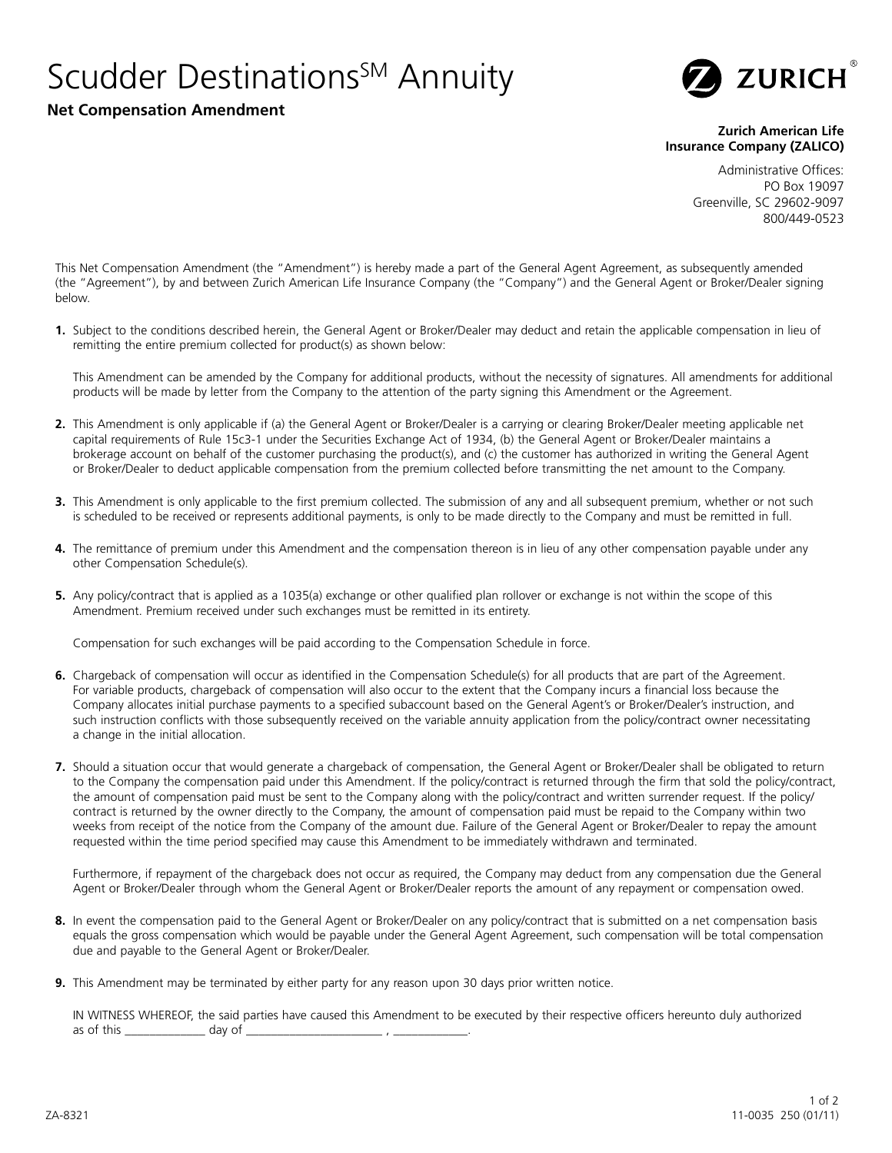## Scudder Destinations<sup>SM</sup> Annuity





## **Zurich American Life Insurance Company (ZALICO)**

Administrative Offices: PO Box 19097 Greenville, SC 29602-9097 800/449-0523

This Net Compensation Amendment (the "Amendment") is hereby made a part of the General Agent Agreement, as subsequently amended (the "Agreement"), by and between Zurich American Life Insurance Company (the "Company") and the General Agent or Broker/Dealer signing below.

**1.** Subject to the conditions described herein, the General Agent or Broker/Dealer may deduct and retain the applicable compensation in lieu of remitting the entire premium collected for product(s) as shown below:

This Amendment can be amended by the Company for additional products, without the necessity of signatures. All amendments for additional products will be made by letter from the Company to the attention of the party signing this Amendment or the Agreement.

- **2.** This Amendment is only applicable if (a) the General Agent or Broker/Dealer is a carrying or clearing Broker/Dealer meeting applicable net capital requirements of Rule 15c3-1 under the Securities Exchange Act of 1934, (b) the General Agent or Broker/Dealer maintains a brokerage account on behalf of the customer purchasing the product(s), and (c) the customer has authorized in writing the General Agent or Broker/Dealer to deduct applicable compensation from the premium collected before transmitting the net amount to the Company.
- **3.** This Amendment is only applicable to the first premium collected. The submission of any and all subsequent premium, whether or not such is scheduled to be received or represents additional payments, is only to be made directly to the Company and must be remitted in full.
- **4.** The remittance of premium under this Amendment and the compensation thereon is in lieu of any other compensation payable under any other Compensation Schedule(s).
- **5.** Any policy/contract that is applied as a 1035(a) exchange or other qualified plan rollover or exchange is not within the scope of this Amendment. Premium received under such exchanges must be remitted in its entirety.

Compensation for such exchanges will be paid according to the Compensation Schedule in force.

- **6.** Chargeback of compensation will occur as identified in the Compensation Schedule(s) for all products that are part of the Agreement. For variable products, chargeback of compensation will also occur to the extent that the Company incurs a financial loss because the Company allocates initial purchase payments to a specified subaccount based on the General Agent's or Broker/Dealer's instruction, and such instruction conflicts with those subsequently received on the variable annuity application from the policy/contract owner necessitating a change in the initial allocation.
- **7.** Should a situation occur that would generate a chargeback of compensation, the General Agent or Broker/Dealer shall be obligated to return to the Company the compensation paid under this Amendment. If the policy/contract is returned through the firm that sold the policy/contract, the amount of compensation paid must be sent to the Company along with the policy/contract and written surrender request. If the policy/ contract is returned by the owner directly to the Company, the amount of compensation paid must be repaid to the Company within two weeks from receipt of the notice from the Company of the amount due. Failure of the General Agent or Broker/Dealer to repay the amount requested within the time period specified may cause this Amendment to be immediately withdrawn and terminated.

Furthermore, if repayment of the chargeback does not occur as required, the Company may deduct from any compensation due the General Agent or Broker/Dealer through whom the General Agent or Broker/Dealer reports the amount of any repayment or compensation owed.

- **8.** In event the compensation paid to the General Agent or Broker/Dealer on any policy/contract that is submitted on a net compensation basis equals the gross compensation which would be payable under the General Agent Agreement, such compensation will be total compensation due and payable to the General Agent or Broker/Dealer.
- **9.** This Amendment may be terminated by either party for any reason upon 30 days prior written notice.

IN WITNESS WHEREOF, the said parties have caused this Amendment to be executed by their respective officers hereunto duly authorized as of this \_\_\_\_\_\_\_\_\_\_\_\_\_ day of \_\_\_\_\_\_\_\_\_\_\_\_\_\_\_\_\_\_\_\_\_\_ , \_\_\_\_\_\_\_\_\_\_\_\_.